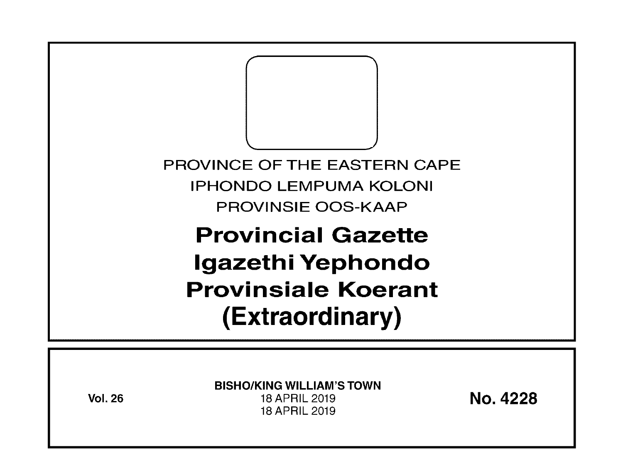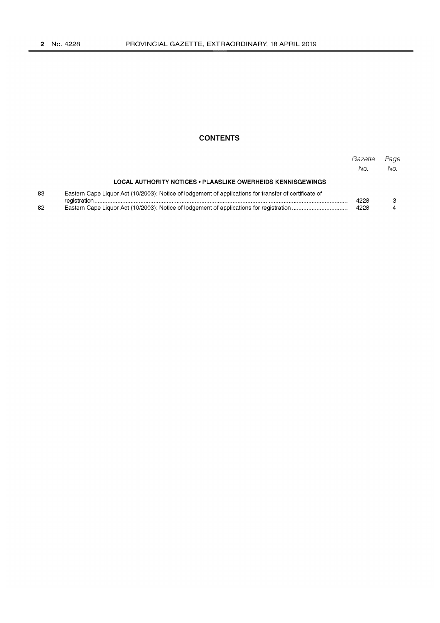## **CONTENTS**

|    |                                                                                                       | Gazette<br>No. | Page<br>No. |
|----|-------------------------------------------------------------------------------------------------------|----------------|-------------|
|    | LOCAL AUTHORITY NOTICES . PLAASLIKE OWERHEIDS KENNISGEWINGS                                           |                |             |
| 83 | Eastern Cape Liquor Act (10/2003): Notice of lodgement of applications for transfer of certificate of | 4228           |             |
| 82 |                                                                                                       | 4228           |             |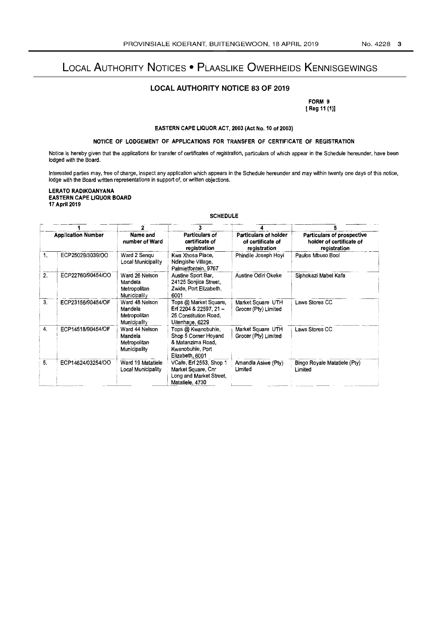# LOCAL AUTHORITY NOTICES . PLAASLIKE OWERHEIDS KENNISGEWINGS

## **LOCAL AUTHORITY NOTICE 83 OF 2019**

FORM 9 [ Reg 11 (1)]

EASTERN CAPE LIQUOR ACT, 2003 (Act No. 10 of 2003)

## NOTICE OF LODGEMENT OF APPLICATIONS FOR TRANSFER OF CERTIFICATE OF REGISTRATION

Notice is hereby given that the applications for transfer of certificates of registration, particulars of which appear in the Schedule hereunder, have been lodged with the Board.

Interested parties may, free of charge, inspect any application which appears in the Schedule hereunder and may within twenty one days of this notice,<br>lodge with the Board written representations in support of, or written

LERATO RADIKOANYANA **EASTERN CAPE LIQUOR BOARD** 17 April 2019

#### **SCHEDULE**

| <b>Application Number</b> |                   |                                                                  |                                                                                                        |                                                            |                                                                               |
|---------------------------|-------------------|------------------------------------------------------------------|--------------------------------------------------------------------------------------------------------|------------------------------------------------------------|-------------------------------------------------------------------------------|
|                           |                   | Name and<br>number of Ward                                       | Particulars of<br>certificate of<br>registration                                                       | Particulars of holder<br>of certificate of<br>registration | <b>Particulars of prospective</b><br>holder of certificate of<br>registration |
| 1.                        | ECP25029/3039/OO  | Ward 2 Sengu<br>Local Municipality                               | Kwa Xhosa Place.<br>Ndingishe Village.<br>Palmietfontein, 9767                                         | Phindile Joseph Hovi                                       | Paulos Mbuso Booi                                                             |
| 2.                        | ECP22760/90454/OO | Ward 26 Nelson<br>Mandela<br>Metropolitan<br>Municipality        | Austine Sport Bar,<br>24125 Soniica Street,<br>Zwide, Port Elizabeth,<br>6001                          | Austine Odiri Okeke                                        | Siphokazi Mabel Kafa                                                          |
| 3.                        | ECP23156/90454/OF | Ward 48 Nelson<br>Mandela<br>Metropolitan<br><b>Municipality</b> | Tops @ Market Square,<br>Erf 2204 & 22597, 21-<br>25 Constitution Road.<br>Uitenhage, 6229             | Market Square UTH<br>Grocer (Pty) Limited                  | Laws Stores CC                                                                |
| 4.                        | ECP14518/90454/OF | Ward 44 Nelson<br>Mandela<br>Metropolitan<br>Municipality        | Tops @ Kwanobuhie,<br>Shop 5 Corner Hoyand<br>& Matanzima Road,<br>Kwanobuhle, Port<br>Elizabeth, 6001 | Market Square UTH<br>Grocer (Pty) Limited                  | Laws Stores CC                                                                |
| 5.                        | ECP14624/03254/OO | Ward 19 Matatiele<br>Local Municipality                          | VCafe, Erf 2553, Shop 1<br>Market Square, Cnr<br>Long and Market Street,<br>Matatiele, 4730            | Amandla Asiwe (Pty)<br>Limited                             | Bingo Royale Matatiele (Pty)<br>Limited                                       |